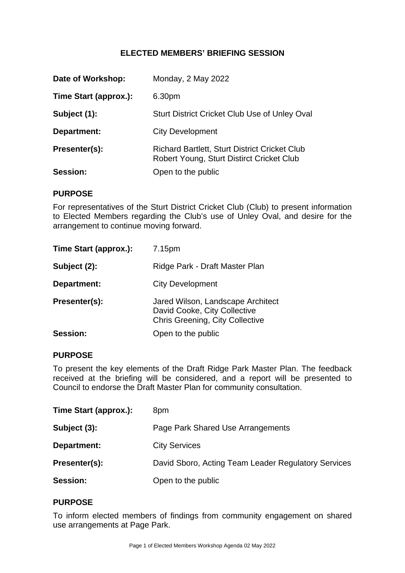# **ELECTED MEMBERS' BRIEFING SESSION**

| Date of Workshop:     | Monday, 2 May 2022                                                                         |
|-----------------------|--------------------------------------------------------------------------------------------|
| Time Start (approx.): | 6.30pm                                                                                     |
| Subject (1):          | <b>Sturt District Cricket Club Use of Unley Oval</b>                                       |
| Department:           | <b>City Development</b>                                                                    |
| Presenter(s):         | Richard Bartlett, Sturt District Cricket Club<br>Robert Young, Sturt Distirct Cricket Club |
| Session:              | Open to the public                                                                         |

#### **PURPOSE**

For representatives of the Sturt District Cricket Club (Club) to present information to Elected Members regarding the Club's use of Unley Oval, and desire for the arrangement to continue moving forward.

| Time Start (approx.): | 7.15pm                                                                                                      |
|-----------------------|-------------------------------------------------------------------------------------------------------------|
| Subject (2):          | Ridge Park - Draft Master Plan                                                                              |
| Department:           | <b>City Development</b>                                                                                     |
| Presenter(s):         | Jared Wilson, Landscape Architect<br>David Cooke, City Collective<br><b>Chris Greening, City Collective</b> |
| <b>Session:</b>       | Open to the public                                                                                          |

#### **PURPOSE**

To present the key elements of the Draft Ridge Park Master Plan. The feedback received at the briefing will be considered, and a report will be presented to Council to endorse the Draft Master Plan for community consultation.

| Time Start (approx.): | 8pm                                                 |
|-----------------------|-----------------------------------------------------|
| Subject (3):          | Page Park Shared Use Arrangements                   |
| Department:           | <b>City Services</b>                                |
| Presenter(s):         | David Sboro, Acting Team Leader Regulatory Services |
| <b>Session:</b>       | Open to the public                                  |

#### **PURPOSE**

To inform elected members of findings from community engagement on shared use arrangements at Page Park.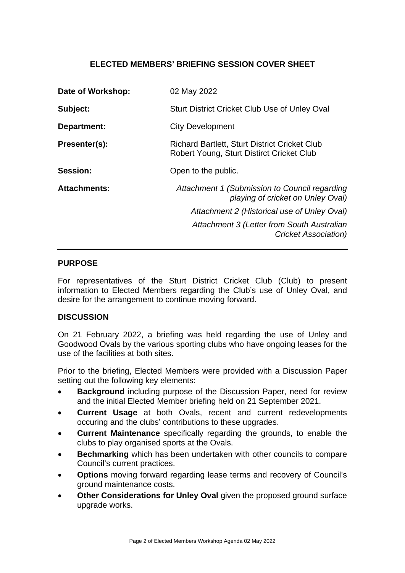# **ELECTED MEMBERS' BRIEFING SESSION COVER SHEET**

| Date of Workshop:   | 02 May 2022                                                                                       |
|---------------------|---------------------------------------------------------------------------------------------------|
| Subject:            | <b>Sturt District Cricket Club Use of Unley Oval</b>                                              |
| Department:         | <b>City Development</b>                                                                           |
| Presenter(s):       | <b>Richard Bartlett, Sturt District Cricket Club</b><br>Robert Young, Sturt Distirct Cricket Club |
| Session:            | Open to the public.                                                                               |
| <b>Attachments:</b> | Attachment 1 (Submission to Council regarding<br>playing of cricket on Unley Oval)                |
|                     | Attachment 2 (Historical use of Unley Oval)                                                       |
|                     | Attachment 3 (Letter from South Australian<br>Cricket Association)                                |

### **PURPOSE**

For representatives of the Sturt District Cricket Club (Club) to present information to Elected Members regarding the Club's use of Unley Oval, and desire for the arrangement to continue moving forward.

#### **DISCUSSION**

On 21 February 2022, a briefing was held regarding the use of Unley and Goodwood Ovals by the various sporting clubs who have ongoing leases for the use of the facilities at both sites.

Prior to the briefing, Elected Members were provided with a Discussion Paper setting out the following key elements:

- **Background** including purpose of the Discussion Paper, need for review and the initial Elected Member briefing held on 21 September 2021.
- **Current Usage** at both Ovals, recent and current redevelopments occuring and the clubs' contributions to these upgrades.
- **Current Maintenance** specifically regarding the grounds, to enable the clubs to play organised sports at the Ovals.
- **Bechmarking** which has been undertaken with other councils to compare Council's current practices.
- **Options** moving forward regarding lease terms and recovery of Council's ground maintenance costs.
- **Other Considerations for Unley Oval** given the proposed ground surface upgrade works.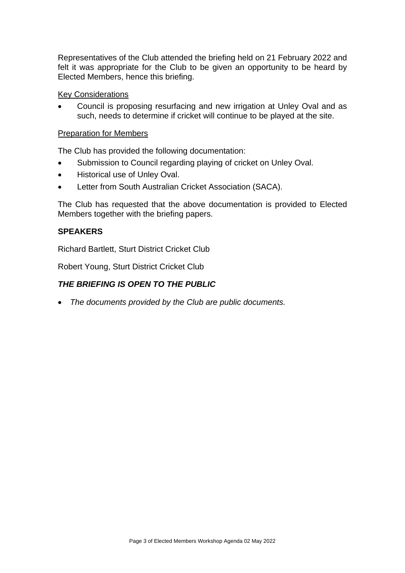Representatives of the Club attended the briefing held on 21 February 2022 and felt it was appropriate for the Club to be given an opportunity to be heard by Elected Members, hence this briefing.

Key Considerations

 Council is proposing resurfacing and new irrigation at Unley Oval and as such, needs to determine if cricket will continue to be played at the site.

### Preparation for Members

The Club has provided the following documentation:

- Submission to Council regarding playing of cricket on Unley Oval.
- Historical use of Unley Oval.
- Letter from South Australian Cricket Association (SACA).

The Club has requested that the above documentation is provided to Elected Members together with the briefing papers.

### **SPEAKERS**

Richard Bartlett, Sturt District Cricket Club

Robert Young, Sturt District Cricket Club

# *THE BRIEFING IS OPEN TO THE PUBLIC*

*The documents provided by the Club are public documents.*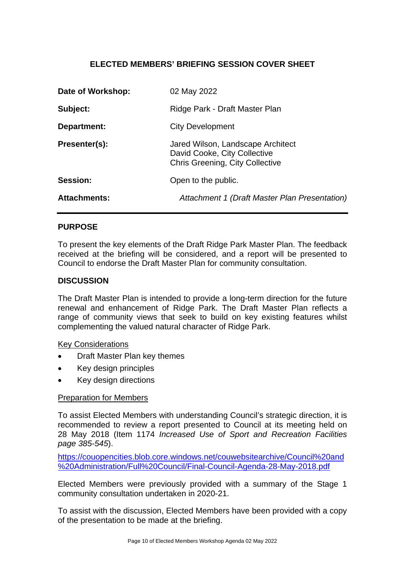# **ELECTED MEMBERS' BRIEFING SESSION COVER SHEET**

| Date of Workshop:   | 02 May 2022                                                                                                 |
|---------------------|-------------------------------------------------------------------------------------------------------------|
| Subject:            | Ridge Park - Draft Master Plan                                                                              |
| Department:         | <b>City Development</b>                                                                                     |
| Presenter(s):       | Jared Wilson, Landscape Architect<br>David Cooke, City Collective<br><b>Chris Greening, City Collective</b> |
| Session:            | Open to the public.                                                                                         |
| <b>Attachments:</b> | Attachment 1 (Draft Master Plan Presentation)                                                               |

### **PURPOSE**

To present the key elements of the Draft Ridge Park Master Plan. The feedback received at the briefing will be considered, and a report will be presented to Council to endorse the Draft Master Plan for community consultation.

#### **DISCUSSION**

The Draft Master Plan is intended to provide a long-term direction for the future renewal and enhancement of Ridge Park. The Draft Master Plan reflects a range of community views that seek to build on key existing features whilst complementing the valued natural character of Ridge Park.

#### Key Considerations

- Draft Master Plan key themes
- Key design principles
- Key design directions

#### Preparation for Members

To assist Elected Members with understanding Council's strategic direction, it is recommended to review a report presented to Council at its meeting held on 28 May 2018 (Item 1174 *Increased Use of Sport and Recreation Facilities page 385-545*).

https://couopencities.blob.core.windows.net/couwebsitearchive/Council%20and %20Administration/Full%20Council/Final-Council-Agenda-28-May-2018.pdf

Elected Members were previously provided with a summary of the Stage 1 community consultation undertaken in 2020-21.

To assist with the discussion, Elected Members have been provided with a copy of the presentation to be made at the briefing.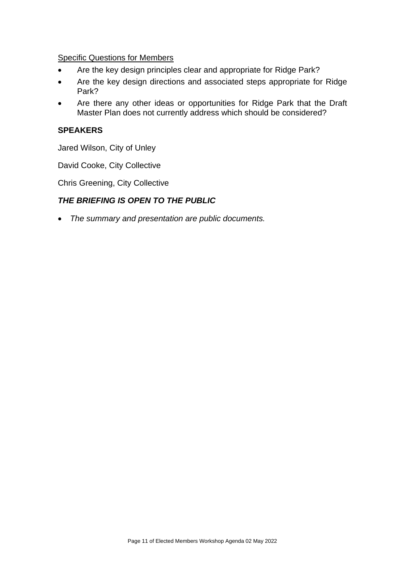Specific Questions for Members

- Are the key design principles clear and appropriate for Ridge Park?
- Are the key design directions and associated steps appropriate for Ridge Park?
- Are there any other ideas or opportunities for Ridge Park that the Draft Master Plan does not currently address which should be considered?

# **SPEAKERS**

Jared Wilson, City of Unley

David Cooke, City Collective

Chris Greening, City Collective

# *THE BRIEFING IS OPEN TO THE PUBLIC*

*The summary and presentation are public documents.*